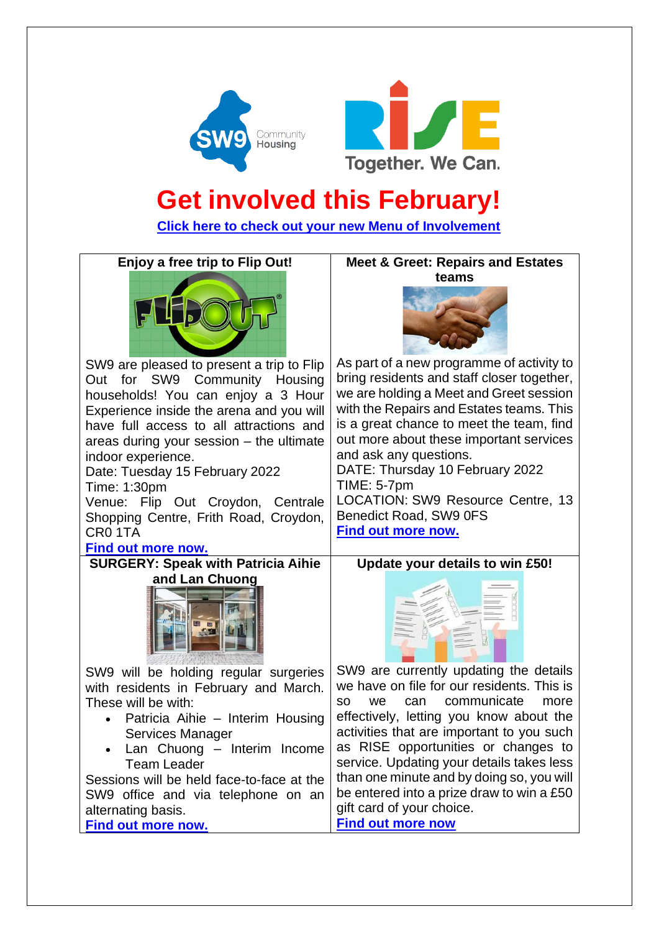



## **Get involved this February!**

**[Click here to check out your new Menu of Involvement](https://www.sw9.org.uk/media/12449/menu-of-involvement.pdf)** 



SW9 are pleased to present a trip to Flip Out for SW9 Community Housing households! You can enjoy a 3 Hour Experience inside the arena and you will have full access to all attractions and areas during your session – the ultimate indoor experience.

Date: Tuesday 15 February 2022 Time: 1:30pm Venue: Flip Out Croydon, Centrale Shopping Centre, Frith Road, Croydon,

CR0 1TA **[Find out more now.](https://www.sw9.org.uk/news/news/2022-news/enjoy-a-free-trip-to-flip-out/)**

**SURGERY: Speak with Patricia Aihie and Lan Chuong**



SW9 will be holding regular surgeries with residents in February and March. These will be with:

- Patricia Aihie Interim Housing Services Manager
- Lan Chuong Interim Income Team Leader

Sessions will be held face-to-face at the SW9 office and via telephone on an alternating basis.

**[Find out more now.](https://www.sw9.org.uk/news/news/2022-news/surgery-speak-with-patricia-aihie-and-lan-chuong/)**

**Meet & Greet: Repairs and Estates teams**



As part of a new programme of activity to bring residents and staff closer together, we are holding a Meet and Greet session with the Repairs and Estates teams. This is a great chance to meet the team, find out more about these important services and ask any questions. DATE: Thursday 10 February 2022

TIME: 5-7pm LOCATION: SW9 Resource Centre, 13 Benedict Road, SW9 0FS **[Find out more now.](https://www.sw9.org.uk/news/news/2022-news/meet-greet-repairs-and-estates-teams/)**

**Update your details to win £50!**



SW9 are currently updating the details we have on file for our residents. This is so we can communicate more effectively, letting you know about the activities that are important to you such as RISE opportunities or changes to service. Updating your details takes less than one minute and by doing so, you will be entered into a prize draw to win a £50 gift card of your choice. **[Find out more now](https://www.sw9.org.uk/news/news/2022-news/update-your-details-to-win-50/)**